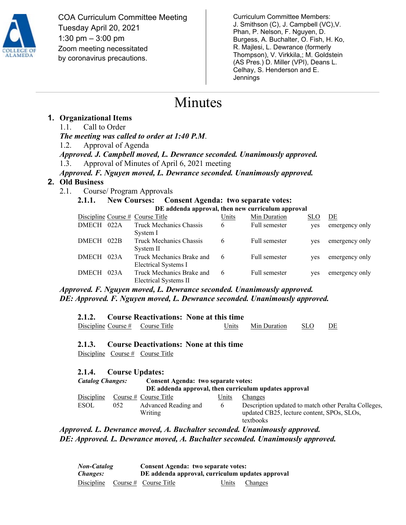

COA Curriculum Committee Meeting Tuesday April 20, 2021 1:30 pm – 3:00 pm Zoom meeting necessitated by coronavirus precautions.

Curriculum Committee Members: J. Smithson (C), J. Campbell (VC),V. Phan, P. Nelson, F. Nguyen, D. Burgess, A. Buchalter, O. Fish, H. Ko, R. Majlesi, L. Dewrance (formerly Thompson), V. Virkkila,; M. Goldstein (AS Pres.) D. Miller (VPI), Deans L. Celhay, S. Henderson and E. Jennings

## Minutes

#### **1. Organizational Items**

1.1. Call to Order *The meeting was called to order at 1:40 P.M*. 1.2. Approval of Agenda *Approved. J. Campbell moved, L. Dewrance seconded. Unanimously approved.*  1.3. Approval of Minutes of April 6, 2021 meeting *Approved. F. Nguyen moved, L. Dewrance seconded. Unanimously approved.*

#### **2. Old Business**

2.1. Course/ Program Approvals

### **2.1.1. New Courses:** Consent Agenda: two separate votes:

| DE addenda approval, then new curriculum approval |      |                                                    |       |               |            |                |
|---------------------------------------------------|------|----------------------------------------------------|-------|---------------|------------|----------------|
|                                                   |      | Discipline Course # Course Title                   | Units | Min Duration  | SLO.       | DE             |
| DMECH 022A                                        |      | Truck Mechanics Chassis<br>System 1                | 6     | Full semester | ves        | emergency only |
| <b>DMECH</b>                                      | 022B | Truck Mechanics Chassis<br>System II               | 6     | Full semester | ves        | emergency only |
| <b>DMECH</b>                                      | 023A | Truck Mechanics Brake and<br>Electrical Systems I  | 6     | Full semester | ves        | emergency only |
| <b>DMECH</b>                                      | 023A | Truck Mechanics Brake and<br>Electrical Systems II | 6     | Full semester | <b>ves</b> | emergency only |

*Approved. F. Nguyen moved, L. Dewrance seconded. Unanimously approved. DE: Approved. F. Nguyen moved, L. Dewrance seconded. Unanimously approved.*

|  |                                    | 2.1.2. Course Reactivations: None at this time |                        |    |
|--|------------------------------------|------------------------------------------------|------------------------|----|
|  | Discipline Course $#$ Course Title |                                                | Units Min Duration SLO | DE |

**2.1.3. Course Deactivations: None at this time**

Discipline Course  $\#$  Course Title

#### **2.1.4. Course Updates:**

| <b>Catalog Changes:</b> |     | Consent Agenda: two separate votes:<br>DE addenda approval, then curriculum updates approval |          |                                                                                                                 |  |
|-------------------------|-----|----------------------------------------------------------------------------------------------|----------|-----------------------------------------------------------------------------------------------------------------|--|
| Discipline              |     | Course $#$ Course Title                                                                      | Units    | Changes                                                                                                         |  |
| <b>ESOL</b>             | 052 | Advanced Reading and<br>Writing                                                              | $\sigma$ | Description updated to match other Peralta Colleges,<br>updated CB25, lecture content, SPOs, SLOs,<br>textbooks |  |

*Approved. L. Dewrance moved, A. Buchalter seconded. Unanimously approved. DE: Approved. L. Dewrance moved, A. Buchalter seconded. Unanimously approved.*

*Non-Catalog Changes:* **Consent Agenda: two separate votes: DE addenda approval, curriculum updates approval** Discipline Course # Course Title Units Changes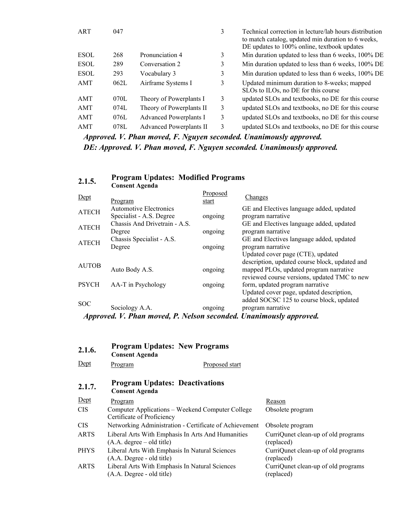| ART         | 047  |                                | 3 | Technical correction in lecture/lab hours distribution<br>to match catalog, updated min duration to 6 weeks,<br>DE updates to 100% online, textbook updates |
|-------------|------|--------------------------------|---|-------------------------------------------------------------------------------------------------------------------------------------------------------------|
| <b>ESOL</b> | 268  | Pronunciation 4                | 3 | Min duration updated to less than 6 weeks, 100% DE                                                                                                          |
| <b>ESOL</b> | 289  | Conversation 2                 | 3 | Min duration updated to less than 6 weeks, 100% DE                                                                                                          |
| <b>ESOL</b> | 293  | Vocabulary 3                   | 3 | Min duration updated to less than 6 weeks, 100% DE                                                                                                          |
| AMT         | 062L | Airframe Systems I             | 3 | Updated minimum duration to 8-weeks; mapped<br>SLOs to ILOs, no DE for this course                                                                          |
| AMT         | 070L | Theory of Powerplants I        | 3 | updated SLOs and textbooks, no DE for this course                                                                                                           |
| AMT         | 074L | Theory of Powerplants II       | 3 | updated SLOs and textbooks, no DE for this course                                                                                                           |
| AMT         | 076L | Advanced Powerplants I         | 3 | updated SLOs and textbooks, no DE for this course                                                                                                           |
| AMT         | 078L | <b>Advanced Powerplants II</b> | 3 | updated SLOs and textbooks, no DE for this course                                                                                                           |
|             |      |                                |   |                                                                                                                                                             |

*Approved. V. Phan moved, F. Nguyen seconded. Unanimously approved. DE: Approved. V. Phan moved, F. Nguyen seconded. Unanimously approved.*

# **2.1.5. Program Updates: Modified Programs Consent Agenda**

| Dept         | Program                                                     | Proposed<br>start | <b>Changes</b>                                                                         |
|--------------|-------------------------------------------------------------|-------------------|----------------------------------------------------------------------------------------|
| <b>ATECH</b> | <b>Automotive Electronics</b><br>Specialist - A.S. Degree   | ongoing           | GE and Electives language added, updated<br>program narrative                          |
| <b>ATECH</b> | Chassis And Drivetrain - A.S.<br>Degree                     | ongoing           | GE and Electives language added, updated<br>program narrative                          |
| <b>ATECH</b> | Chassis Specialist - A.S.<br>Degree                         | ongoing           | GE and Electives language added, updated<br>program narrative                          |
| <b>AUTOB</b> |                                                             |                   | Updated cover page (CTE), updated<br>description, updated course block, updated and    |
|              | Auto Body A.S.                                              | ongoing           | mapped PLOs, updated program narrative<br>reviewed course versions, updated TMC to new |
| <b>PSYCH</b> | AA-T in Psychology                                          | ongoing           | form, updated program narrative<br>Updated cover page, updated description,            |
| <b>SOC</b>   | Sociology A.A.                                              | ongoing           | added SOCSC 125 to course block, updated<br>program narrative                          |
|              | Annual U. Dhan manad D. Malaan aagandad Unguimandu gunuquad |                   |                                                                                        |

| Approved. V. Phan moved, P. Nelson seconded. Unanimously approved. |  |  |
|--------------------------------------------------------------------|--|--|
|                                                                    |  |  |

| 2.1.6.      | <b>Program Updates: New Programs</b><br><b>Consent Agenda</b>                    |                                                   |
|-------------|----------------------------------------------------------------------------------|---------------------------------------------------|
| Dept        | Proposed start<br>Program                                                        |                                                   |
| 2.1.7.      | <b>Program Updates: Deactivations</b><br><b>Consent Agenda</b>                   |                                                   |
| Dept        | Program                                                                          | Reason                                            |
| <b>CIS</b>  | Computer Applications – Weekend Computer College<br>Certificate of Proficiency   | Obsolete program                                  |
| <b>CIS</b>  | Networking Administration - Certificate of Achievement                           | Obsolete program                                  |
| <b>ARTS</b> | Liberal Arts With Emphasis In Arts And Humanities<br>$(A.A. degree - old title)$ | CurriQunet clean-up of old programs<br>(replaced) |
| <b>PHYS</b> | Liberal Arts With Emphasis In Natural Sciences<br>(A.A. Degree - old title)      | CurriQunet clean-up of old programs<br>(replaced) |
| ARTS        | Liberal Arts With Emphasis In Natural Sciences<br>(A.A. Degree - old title)      | CurriQunet clean-up of old programs<br>(replaced) |